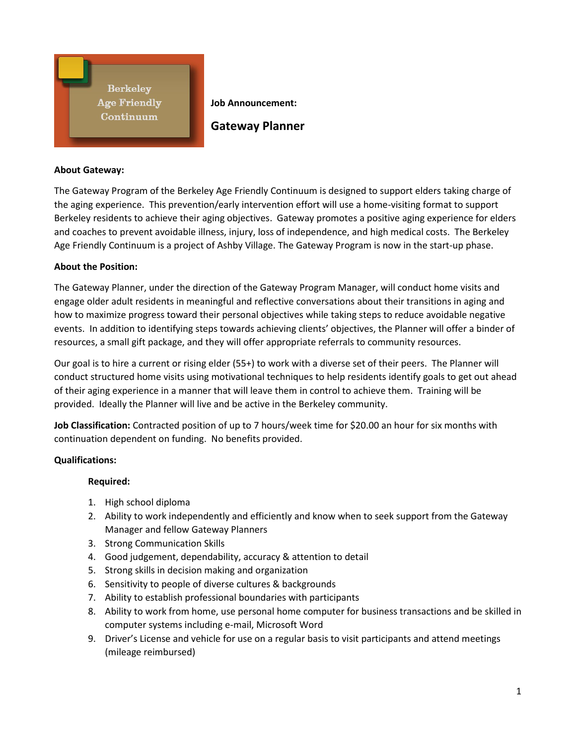**Berkeley Age Friendly** Continuum

**Job Announcement: Gateway Planner**

### **About Gateway:**

The Gateway Program of the Berkeley Age Friendly Continuum is designed to support elders taking charge of the aging experience. This prevention/early intervention effort will use a home-visiting format to support Berkeley residents to achieve their aging objectives. Gateway promotes a positive aging experience for elders and coaches to prevent avoidable illness, injury, loss of independence, and high medical costs. The Berkeley Age Friendly Continuum is a project of Ashby Village. The Gateway Program is now in the start-up phase.

### **About the Position:**

The Gateway Planner, under the direction of the Gateway Program Manager, will conduct home visits and engage older adult residents in meaningful and reflective conversations about their transitions in aging and how to maximize progress toward their personal objectives while taking steps to reduce avoidable negative events. In addition to identifying steps towards achieving clients' objectives, the Planner will offer a binder of resources, a small gift package, and they will offer appropriate referrals to community resources.

Our goal is to hire a current or rising elder (55+) to work with a diverse set of their peers. The Planner will conduct structured home visits using motivational techniques to help residents identify goals to get out ahead of their aging experience in a manner that will leave them in control to achieve them. Training will be provided. Ideally the Planner will live and be active in the Berkeley community.

**Job Classification:** Contracted position of up to 7 hours/week time for \$20.00 an hour for six months with continuation dependent on funding. No benefits provided.

# **Qualifications:**

### **Required:**

- 1. High school diploma
- 2. Ability to work independently and efficiently and know when to seek support from the Gateway Manager and fellow Gateway Planners
- 3. Strong Communication Skills
- 4. Good judgement, dependability, accuracy & attention to detail
- 5. Strong skills in decision making and organization
- 6. Sensitivity to people of diverse cultures & backgrounds
- 7. Ability to establish professional boundaries with participants
- 8. Ability to work from home, use personal home computer for business transactions and be skilled in computer systems including e-mail, Microsoft Word
- 9. Driver's License and vehicle for use on a regular basis to visit participants and attend meetings (mileage reimbursed)